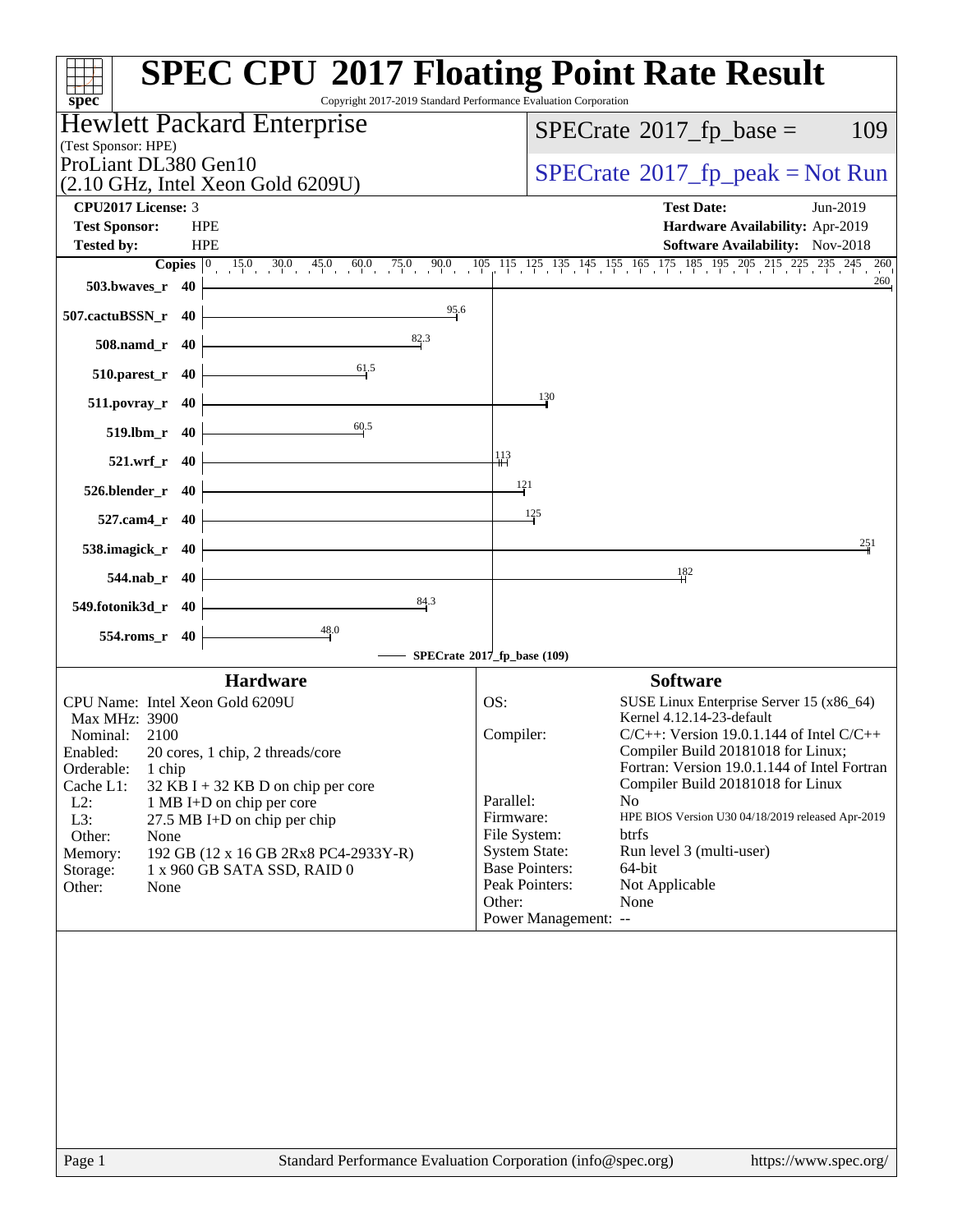| Copyright 2017-2019 Standard Performance Evaluation Corporation<br>$spec^*$ | <b>SPEC CPU®2017 Floating Point Rate Result</b>                                                                                                                                           |
|-----------------------------------------------------------------------------|-------------------------------------------------------------------------------------------------------------------------------------------------------------------------------------------|
| Hewlett Packard Enterprise                                                  | $SPECTate$ <sup>®</sup> 2017_fp_base =<br>109                                                                                                                                             |
| (Test Sponsor: HPE)                                                         |                                                                                                                                                                                           |
| ProLiant DL380 Gen10                                                        | $SPECTate@2017fr peak = Not Run$                                                                                                                                                          |
| (2.10 GHz, Intel Xeon Gold 6209U)<br>CPU2017 License: 3                     | <b>Test Date:</b><br>Jun-2019                                                                                                                                                             |
| <b>Test Sponsor:</b><br><b>HPE</b>                                          | Hardware Availability: Apr-2019                                                                                                                                                           |
| <b>HPE</b><br><b>Tested by:</b>                                             | Software Availability: Nov-2018                                                                                                                                                           |
|                                                                             | <b>Copies</b> $\begin{bmatrix} 0 & 15 & 0 & 30 & 45 & 0 & 60 & 75 & 0 & 90 & 105 & 115 & 125 & 135 & 145 & 155 & 165 & 175 & 185 & 195 & 205 & 215 & 225 & 235 & 245 & 260 \end{bmatrix}$ |
| $503.bwaves_r$ 40                                                           | 260                                                                                                                                                                                       |
| 95.6<br>507.cactuBSSN_r 40                                                  |                                                                                                                                                                                           |
| 82.3<br>508.namd_r 40                                                       |                                                                                                                                                                                           |
| 61.5<br>$510.parest_r$ 40                                                   |                                                                                                                                                                                           |
| $511.povray_r$ 40                                                           | $\frac{130}{2}$                                                                                                                                                                           |
| 60.5<br>519.lbm_r 40                                                        |                                                                                                                                                                                           |
| 521.wrf_r 40                                                                | $\frac{113}{11}$                                                                                                                                                                          |
| $526.blender_r 40$                                                          | $\frac{121}{1}$                                                                                                                                                                           |
| 527.cam4_r 40                                                               | 125                                                                                                                                                                                       |
| 538.imagick_r 40                                                            | 251                                                                                                                                                                                       |
| 544.nab_r 40                                                                | 182                                                                                                                                                                                       |
| 84.3<br>549.fotonik3d_r 40                                                  |                                                                                                                                                                                           |
| 554.roms_r 40                                                               | SPECrate®2017_fp_base (109)                                                                                                                                                               |
| <b>Hardware</b>                                                             | <b>Software</b>                                                                                                                                                                           |
| CPU Name: Intel Xeon Gold 6209U                                             | SUSE Linux Enterprise Server 15 (x86_64)<br>OS:                                                                                                                                           |
| Max MHz: 3900                                                               | Kernel 4.12.14-23-default                                                                                                                                                                 |
| Nominal:<br>2100                                                            | Compiler:<br>$C/C++$ : Version 19.0.1.144 of Intel $C/C++$                                                                                                                                |
| 20 cores, 1 chip, 2 threads/core<br>Enabled:<br>Orderable:                  | Compiler Build 20181018 for Linux;<br>Fortran: Version 19.0.1.144 of Intel Fortran                                                                                                        |
| 1 chip<br>Cache L1:<br>$32$ KB I + 32 KB D on chip per core                 | Compiler Build 20181018 for Linux                                                                                                                                                         |
| $L2$ :<br>1 MB I+D on chip per core                                         | Parallel:<br>No                                                                                                                                                                           |
| L3:<br>27.5 MB I+D on chip per chip                                         | HPE BIOS Version U30 04/18/2019 released Apr-2019<br>Firmware:                                                                                                                            |
| Other:<br>None                                                              | File System:<br>btrfs                                                                                                                                                                     |
| 192 GB (12 x 16 GB 2Rx8 PC4-2933Y-R)<br>Memory:                             | <b>System State:</b><br>Run level 3 (multi-user)<br><b>Base Pointers:</b><br>64-bit                                                                                                       |
| Storage:<br>1 x 960 GB SATA SSD, RAID 0<br>Other:<br>None                   | Peak Pointers:<br>Not Applicable                                                                                                                                                          |
|                                                                             | Other:<br>None                                                                                                                                                                            |
|                                                                             | Power Management: --                                                                                                                                                                      |
|                                                                             |                                                                                                                                                                                           |
|                                                                             |                                                                                                                                                                                           |
|                                                                             |                                                                                                                                                                                           |
|                                                                             |                                                                                                                                                                                           |
|                                                                             |                                                                                                                                                                                           |
|                                                                             |                                                                                                                                                                                           |
|                                                                             |                                                                                                                                                                                           |
|                                                                             |                                                                                                                                                                                           |
|                                                                             |                                                                                                                                                                                           |
|                                                                             |                                                                                                                                                                                           |
|                                                                             |                                                                                                                                                                                           |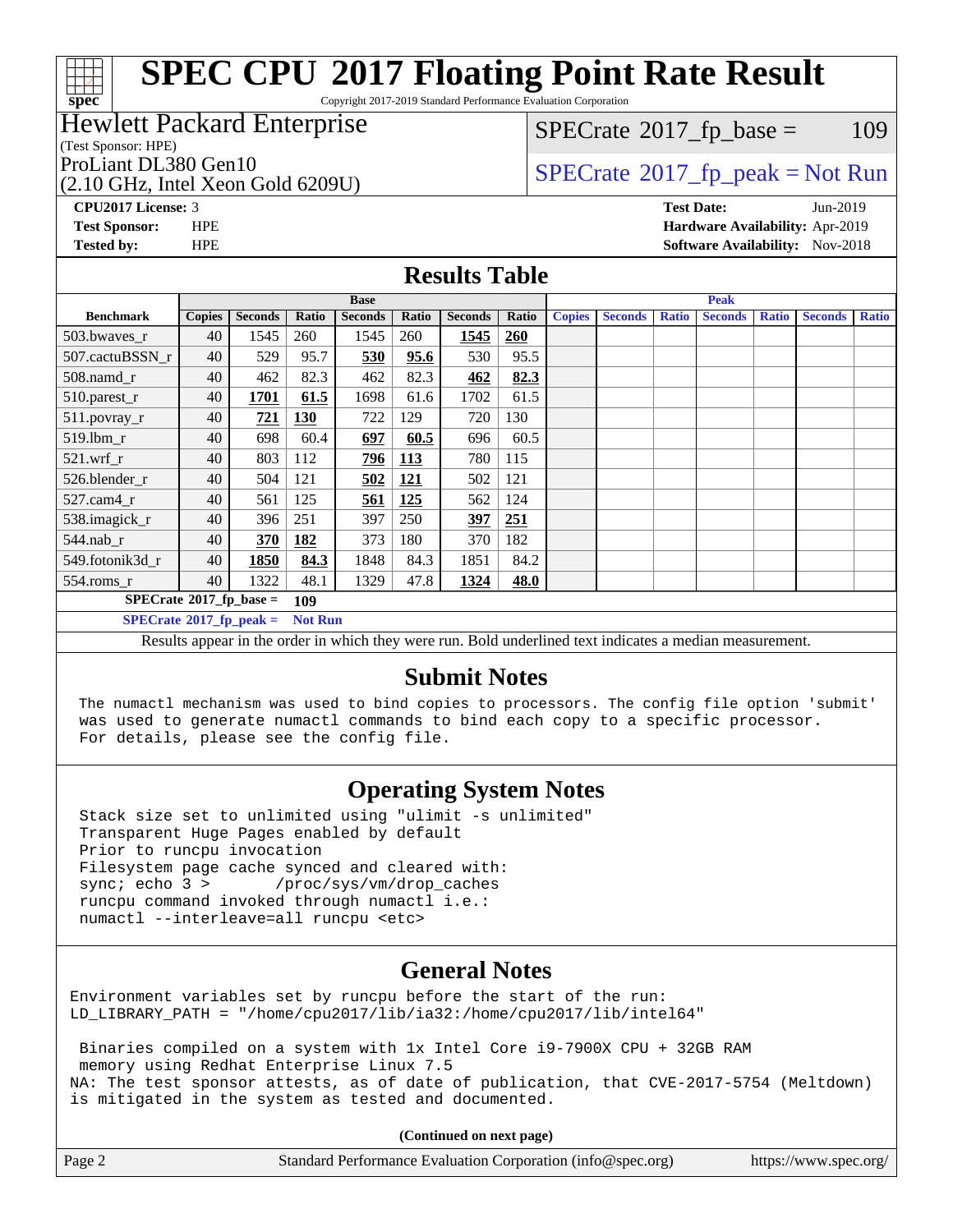# **[spec](http://www.spec.org/)**

# **[SPEC CPU](http://www.spec.org/auto/cpu2017/Docs/result-fields.html#SPECCPU2017FloatingPointRateResult)[2017 Floating Point Rate Result](http://www.spec.org/auto/cpu2017/Docs/result-fields.html#SPECCPU2017FloatingPointRateResult)**

Copyright 2017-2019 Standard Performance Evaluation Corporation

## Hewlett Packard Enterprise

(Test Sponsor: HPE)

(2.10 GHz, Intel Xeon Gold 6209U)

 $SPECTate@2017_fp\_base = 109$ 

## ProLiant DL380 Gen10<br>  $SPECTate$ <sup>®</sup>[2017\\_fp\\_peak = N](http://www.spec.org/auto/cpu2017/Docs/result-fields.html#SPECrate2017fppeak)ot Run

**[CPU2017 License:](http://www.spec.org/auto/cpu2017/Docs/result-fields.html#CPU2017License)** 3 **[Test Date:](http://www.spec.org/auto/cpu2017/Docs/result-fields.html#TestDate)** Jun-2019 **[Test Sponsor:](http://www.spec.org/auto/cpu2017/Docs/result-fields.html#TestSponsor)** HPE **[Hardware Availability:](http://www.spec.org/auto/cpu2017/Docs/result-fields.html#HardwareAvailability)** Apr-2019 **[Tested by:](http://www.spec.org/auto/cpu2017/Docs/result-fields.html#Testedby)** HPE **HPE [Software Availability:](http://www.spec.org/auto/cpu2017/Docs/result-fields.html#SoftwareAvailability)** Nov-2018

### **[Results Table](http://www.spec.org/auto/cpu2017/Docs/result-fields.html#ResultsTable)**

|                                               | <b>Base</b>   |                |                |                | <b>Peak</b> |                |            |               |                |              |                |              |                |              |
|-----------------------------------------------|---------------|----------------|----------------|----------------|-------------|----------------|------------|---------------|----------------|--------------|----------------|--------------|----------------|--------------|
| <b>Benchmark</b>                              | <b>Copies</b> | <b>Seconds</b> | Ratio          | <b>Seconds</b> | Ratio       | <b>Seconds</b> | Ratio      | <b>Copies</b> | <b>Seconds</b> | <b>Ratio</b> | <b>Seconds</b> | <b>Ratio</b> | <b>Seconds</b> | <b>Ratio</b> |
| 503.bwayes_r                                  | 40            | 1545           | 260            | 1545           | 260         | 1545           | <b>260</b> |               |                |              |                |              |                |              |
| 507.cactuBSSN r                               | 40            | 529            | 95.7           | 530            | 95.6        | 530            | 95.5       |               |                |              |                |              |                |              |
| 508.namd_r                                    | 40            | 462            | 82.3           | 462            | 82.3        | 462            | 82.3       |               |                |              |                |              |                |              |
| 510.parest_r                                  | 40            | 1701           | 61.5           | 1698           | 61.6        | 1702           | 61.5       |               |                |              |                |              |                |              |
| 511.povray_r                                  | 40            | 721            | <b>130</b>     | 722            | 129         | 720            | 130        |               |                |              |                |              |                |              |
| 519.lbm_r                                     | 40            | 698            | 60.4           | 697            | 60.5        | 696            | 60.5       |               |                |              |                |              |                |              |
| $521$ .wrf r                                  | 40            | 803            | 112            | 796            | 113         | 780            | 115        |               |                |              |                |              |                |              |
| 526.blender r                                 | 40            | 504            | 121            | 502            | 121         | 502            | 121        |               |                |              |                |              |                |              |
| $527$ .cam $4r$                               | 40            | 561            | 125            | 561            | 125         | 562            | 124        |               |                |              |                |              |                |              |
| 538.imagick_r                                 | 40            | 396            | 251            | 397            | 250         | 397            | 251        |               |                |              |                |              |                |              |
| $544.nab$ _r                                  | 40            | 370            | 182            | 373            | 180         | 370            | 182        |               |                |              |                |              |                |              |
| 549.fotonik3d r                               | 40            | 1850           | 84.3           | 1848           | 84.3        | 1851           | 84.2       |               |                |              |                |              |                |              |
| $554$ .roms_r                                 | 40            | 1322           | 48.1           | 1329           | 47.8        | 1324           | 48.0       |               |                |              |                |              |                |              |
| $SPECrate$ <sup>®</sup> 2017_fp_base =<br>109 |               |                |                |                |             |                |            |               |                |              |                |              |                |              |
| $SPECrate^{\circ}2017$ fp peak =              |               |                | <b>Not Run</b> |                |             |                |            |               |                |              |                |              |                |              |

Results appear in the [order in which they were run.](http://www.spec.org/auto/cpu2017/Docs/result-fields.html#RunOrder) Bold underlined text [indicates a median measurement.](http://www.spec.org/auto/cpu2017/Docs/result-fields.html#Median)

## **[Submit Notes](http://www.spec.org/auto/cpu2017/Docs/result-fields.html#SubmitNotes)**

 The numactl mechanism was used to bind copies to processors. The config file option 'submit' was used to generate numactl commands to bind each copy to a specific processor. For details, please see the config file.

## **[Operating System Notes](http://www.spec.org/auto/cpu2017/Docs/result-fields.html#OperatingSystemNotes)**

 Stack size set to unlimited using "ulimit -s unlimited" Transparent Huge Pages enabled by default Prior to runcpu invocation Filesystem page cache synced and cleared with: sync; echo 3 > /proc/sys/vm/drop\_caches runcpu command invoked through numactl i.e.: numactl --interleave=all runcpu <etc>

## **[General Notes](http://www.spec.org/auto/cpu2017/Docs/result-fields.html#GeneralNotes)**

Environment variables set by runcpu before the start of the run: LD\_LIBRARY\_PATH = "/home/cpu2017/lib/ia32:/home/cpu2017/lib/intel64"

 Binaries compiled on a system with 1x Intel Core i9-7900X CPU + 32GB RAM memory using Redhat Enterprise Linux 7.5 NA: The test sponsor attests, as of date of publication, that CVE-2017-5754 (Meltdown) is mitigated in the system as tested and documented.

**(Continued on next page)**

| Page 2 | Standard Performance Evaluation Corporation (info@spec.org) | https://www.spec.org/ |
|--------|-------------------------------------------------------------|-----------------------|
|--------|-------------------------------------------------------------|-----------------------|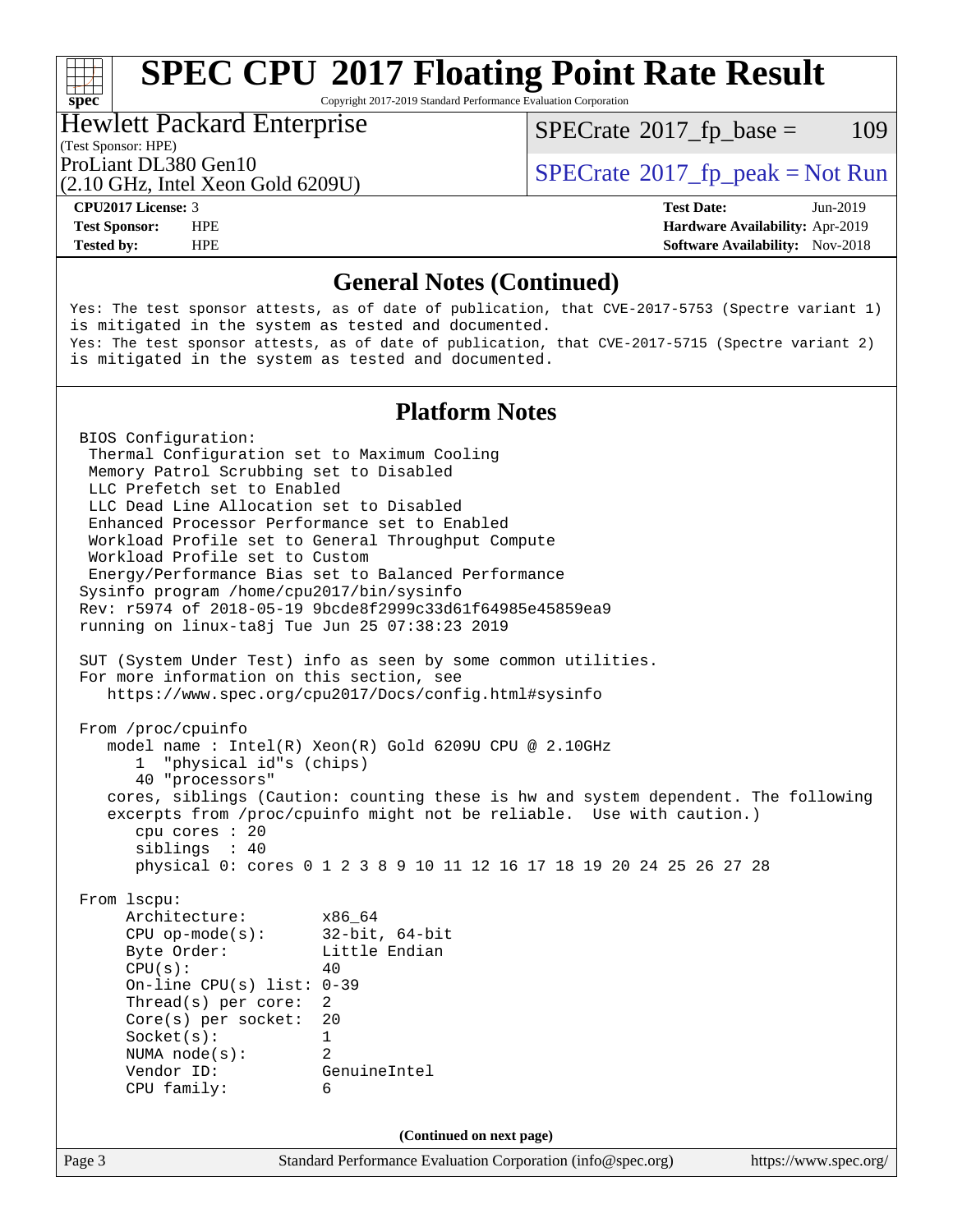# **[SPEC CPU](http://www.spec.org/auto/cpu2017/Docs/result-fields.html#SPECCPU2017FloatingPointRateResult)[2017 Floating Point Rate Result](http://www.spec.org/auto/cpu2017/Docs/result-fields.html#SPECCPU2017FloatingPointRateResult)**

Copyright 2017-2019 Standard Performance Evaluation Corporation

### Hewlett Packard Enterprise

(Test Sponsor: HPE)

 $SPECTate@2017_fp\_base = 109$ 

(2.10 GHz, Intel Xeon Gold 6209U)

ProLiant DL380 Gen10<br>  $SPECTA = Not Run$ <br>  $SPECTA = Not Run$ 

**[spec](http://www.spec.org/)**<sup>®</sup>

**[Tested by:](http://www.spec.org/auto/cpu2017/Docs/result-fields.html#Testedby)** HPE **[Software Availability:](http://www.spec.org/auto/cpu2017/Docs/result-fields.html#SoftwareAvailability)** Nov-2018

**[CPU2017 License:](http://www.spec.org/auto/cpu2017/Docs/result-fields.html#CPU2017License)** 3 **[Test Date:](http://www.spec.org/auto/cpu2017/Docs/result-fields.html#TestDate)** Jun-2019 **[Test Sponsor:](http://www.spec.org/auto/cpu2017/Docs/result-fields.html#TestSponsor)** HPE **[Hardware Availability:](http://www.spec.org/auto/cpu2017/Docs/result-fields.html#HardwareAvailability)** Apr-2019

## **[General Notes \(Continued\)](http://www.spec.org/auto/cpu2017/Docs/result-fields.html#GeneralNotes)**

Yes: The test sponsor attests, as of date of publication, that CVE-2017-5753 (Spectre variant 1) is mitigated in the system as tested and documented. Yes: The test sponsor attests, as of date of publication, that CVE-2017-5715 (Spectre variant 2) is mitigated in the system as tested and documented.

## **[Platform Notes](http://www.spec.org/auto/cpu2017/Docs/result-fields.html#PlatformNotes)**

Page 3 Standard Performance Evaluation Corporation [\(info@spec.org\)](mailto:info@spec.org) <https://www.spec.org/> BIOS Configuration: Thermal Configuration set to Maximum Cooling Memory Patrol Scrubbing set to Disabled LLC Prefetch set to Enabled LLC Dead Line Allocation set to Disabled Enhanced Processor Performance set to Enabled Workload Profile set to General Throughput Compute Workload Profile set to Custom Energy/Performance Bias set to Balanced Performance Sysinfo program /home/cpu2017/bin/sysinfo Rev: r5974 of 2018-05-19 9bcde8f2999c33d61f64985e45859ea9 running on linux-ta8j Tue Jun 25 07:38:23 2019 SUT (System Under Test) info as seen by some common utilities. For more information on this section, see <https://www.spec.org/cpu2017/Docs/config.html#sysinfo> From /proc/cpuinfo model name : Intel(R) Xeon(R) Gold 6209U CPU @ 2.10GHz 1 "physical id"s (chips) 40 "processors" cores, siblings (Caution: counting these is hw and system dependent. The following excerpts from /proc/cpuinfo might not be reliable. Use with caution.) cpu cores : 20 siblings : 40 physical 0: cores 0 1 2 3 8 9 10 11 12 16 17 18 19 20 24 25 26 27 28 From lscpu: Architecture: x86\_64 CPU op-mode(s): 32-bit, 64-bit Byte Order: Little Endian  $CPU(s):$  40 On-line CPU(s) list: 0-39 Thread(s) per core: 2 Core(s) per socket: 20 Socket(s): 1 NUMA node(s): 2 Vendor ID: GenuineIntel CPU family: 6 **(Continued on next page)**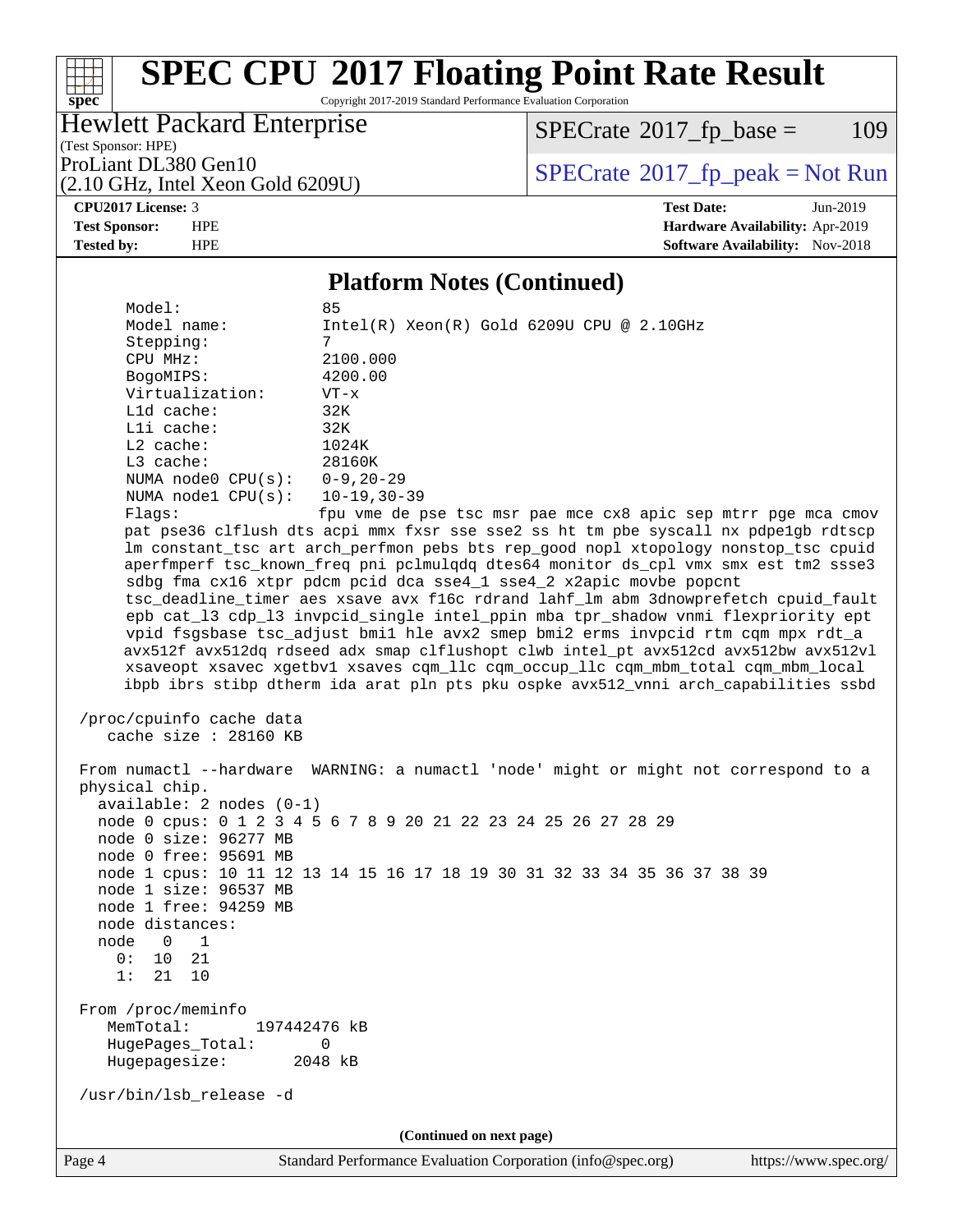# **[SPEC CPU](http://www.spec.org/auto/cpu2017/Docs/result-fields.html#SPECCPU2017FloatingPointRateResult)[2017 Floating Point Rate Result](http://www.spec.org/auto/cpu2017/Docs/result-fields.html#SPECCPU2017FloatingPointRateResult)**

Copyright 2017-2019 Standard Performance Evaluation Corporation

## Hewlett Packard Enterprise

(2.10 GHz, Intel Xeon Gold 6209U)

 $SPECTate@2017_fp\_base = 109$ 

(Test Sponsor: HPE)

ProLiant DL380 Gen10<br>  $\begin{array}{c}\n\text{ProLiant DL380 Gen10} \\
\text{PDCHz Intel Xeon Gold 62091}\n\end{array}$  [SPECrate](http://www.spec.org/auto/cpu2017/Docs/result-fields.html#SPECrate2017fppeak)®[2017\\_fp\\_peak = N](http://www.spec.org/auto/cpu2017/Docs/result-fields.html#SPECrate2017fppeak)ot Run

**[spec](http://www.spec.org/)**

a tim

**[CPU2017 License:](http://www.spec.org/auto/cpu2017/Docs/result-fields.html#CPU2017License)** 3 **[Test Date:](http://www.spec.org/auto/cpu2017/Docs/result-fields.html#TestDate)** Jun-2019 **[Test Sponsor:](http://www.spec.org/auto/cpu2017/Docs/result-fields.html#TestSponsor)** HPE **[Hardware Availability:](http://www.spec.org/auto/cpu2017/Docs/result-fields.html#HardwareAvailability)** Apr-2019 **[Tested by:](http://www.spec.org/auto/cpu2017/Docs/result-fields.html#Testedby)** HPE **[Software Availability:](http://www.spec.org/auto/cpu2017/Docs/result-fields.html#SoftwareAvailability)** Nov-2018

### **[Platform Notes \(Continued\)](http://www.spec.org/auto/cpu2017/Docs/result-fields.html#PlatformNotes)**

Model:<br>Model name:  $Intel(R) Xeon(R) Gold 6209U CPU @ 2.10GHz$ Stepping: CPU MHz: 2100.000 BogoMIPS: 4200.00 Virtualization: VT-x L1d cache: 32K L1i cache: 32K L2 cache: 1024K L3 cache: 28160K NUMA node0 CPU(s): 0-9,20-29 NUMA node1 CPU(s): 10-19,30-39 Flags: fpu vme de pse tsc msr pae mce cx8 apic sep mtrr pge mca cmov

 pat pse36 clflush dts acpi mmx fxsr sse sse2 ss ht tm pbe syscall nx pdpe1gb rdtscp lm constant\_tsc art arch\_perfmon pebs bts rep\_good nopl xtopology nonstop\_tsc cpuid aperfmperf tsc\_known\_freq pni pclmulqdq dtes64 monitor ds\_cpl vmx smx est tm2 ssse3 sdbg fma cx16 xtpr pdcm pcid dca sse4\_1 sse4\_2 x2apic movbe popcnt tsc\_deadline\_timer aes xsave avx f16c rdrand lahf\_lm abm 3dnowprefetch cpuid\_fault epb cat\_l3 cdp\_l3 invpcid\_single intel\_ppin mba tpr\_shadow vnmi flexpriority ept vpid fsgsbase tsc\_adjust bmi1 hle avx2 smep bmi2 erms invpcid rtm cqm mpx rdt\_a avx512f avx512dq rdseed adx smap clflushopt clwb intel\_pt avx512cd avx512bw avx512vl xsaveopt xsavec xgetbv1 xsaves cqm\_llc cqm\_occup\_llc cqm\_mbm\_total cqm\_mbm\_local ibpb ibrs stibp dtherm ida arat pln pts pku ospke avx512\_vnni arch\_capabilities ssbd

```
 /proc/cpuinfo cache data
   cache size : 28160 KB
```
 From numactl --hardware WARNING: a numactl 'node' might or might not correspond to a physical chip. available: 2 nodes (0-1) node 0 cpus: 0 1 2 3 4 5 6 7 8 9 20 21 22 23 24 25 26 27 28 29 node 0 size: 96277 MB node 0 free: 95691 MB node 1 cpus: 10 11 12 13 14 15 16 17 18 19 30 31 32 33 34 35 36 37 38 39 node 1 size: 96537 MB node 1 free: 94259 MB node distances: node 0 1 0: 10 21 1: 21 10 From /proc/meminfo MemTotal: 197442476 kB HugePages\_Total: 0 Hugepagesize: 2048 kB /usr/bin/lsb\_release -d **(Continued on next page)**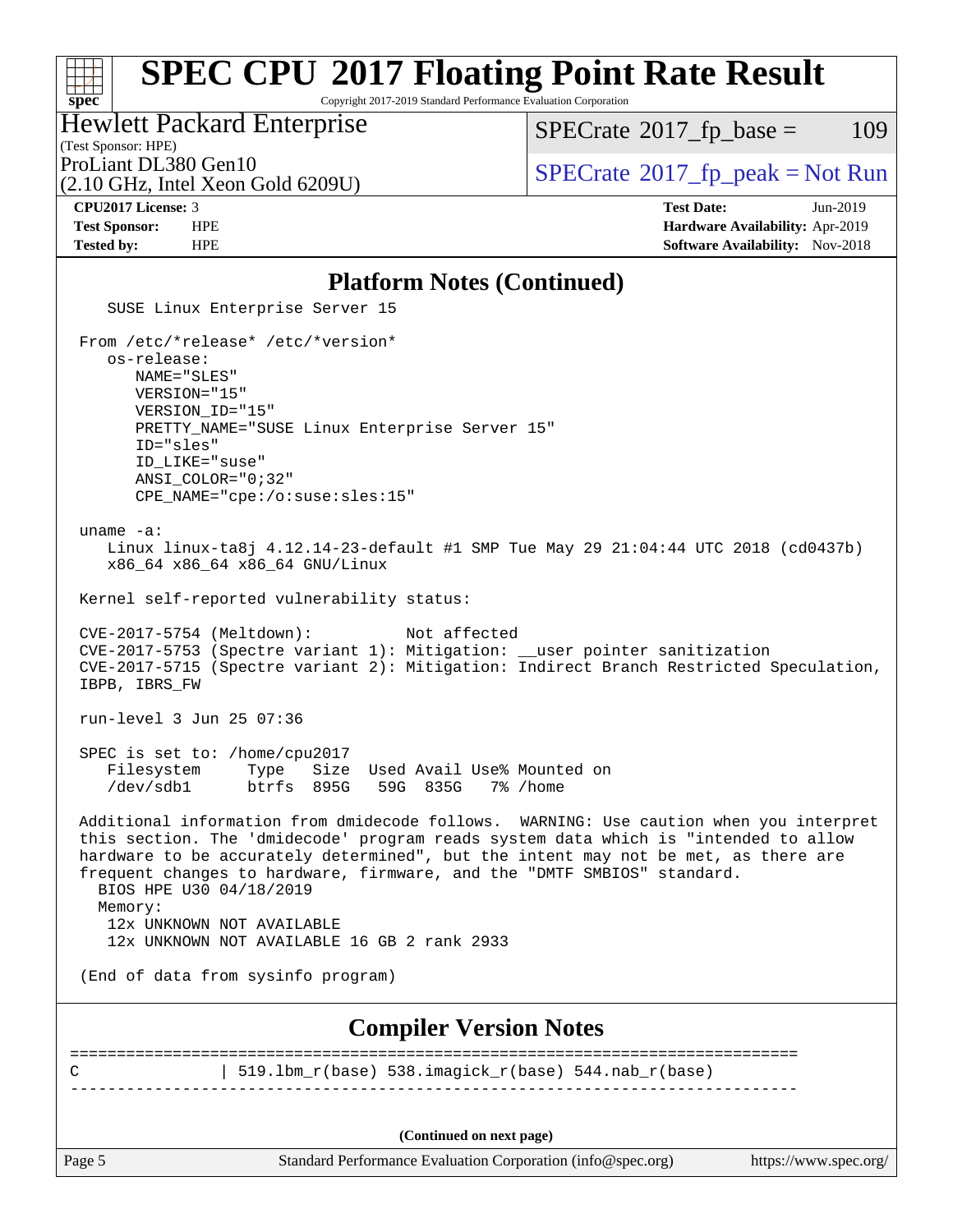# **[SPEC CPU](http://www.spec.org/auto/cpu2017/Docs/result-fields.html#SPECCPU2017FloatingPointRateResult)[2017 Floating Point Rate Result](http://www.spec.org/auto/cpu2017/Docs/result-fields.html#SPECCPU2017FloatingPointRateResult)**

Copyright 2017-2019 Standard Performance Evaluation Corporation

Hewlett Packard Enterprise

 $SPECTate@2017_fp\_base = 109$ 

## (Test Sponsor: HPE)

(2.10 GHz, Intel Xeon Gold 6209U)

ProLiant DL380 Gen10  $SPECTR = 20017$  [SPECrate](http://www.spec.org/auto/cpu2017/Docs/result-fields.html#SPECrate2017fppeak) [2017\\_fp\\_peak = N](http://www.spec.org/auto/cpu2017/Docs/result-fields.html#SPECrate2017fppeak)ot Run

**[spec](http://www.spec.org/)**

**[CPU2017 License:](http://www.spec.org/auto/cpu2017/Docs/result-fields.html#CPU2017License)** 3 **[Test Date:](http://www.spec.org/auto/cpu2017/Docs/result-fields.html#TestDate)** Jun-2019 **[Test Sponsor:](http://www.spec.org/auto/cpu2017/Docs/result-fields.html#TestSponsor)** HPE **[Hardware Availability:](http://www.spec.org/auto/cpu2017/Docs/result-fields.html#HardwareAvailability)** Apr-2019 **[Tested by:](http://www.spec.org/auto/cpu2017/Docs/result-fields.html#Testedby)** HPE **[Software Availability:](http://www.spec.org/auto/cpu2017/Docs/result-fields.html#SoftwareAvailability)** Nov-2018

### **[Platform Notes \(Continued\)](http://www.spec.org/auto/cpu2017/Docs/result-fields.html#PlatformNotes)**

 SUSE Linux Enterprise Server 15 From /etc/\*release\* /etc/\*version\* os-release: NAME="SLES" VERSION="15" VERSION\_ID="15" PRETTY\_NAME="SUSE Linux Enterprise Server 15" ID="sles" ID\_LIKE="suse" ANSI\_COLOR="0;32" CPE\_NAME="cpe:/o:suse:sles:15" uname -a: Linux linux-ta8j 4.12.14-23-default #1 SMP Tue May 29 21:04:44 UTC 2018 (cd0437b) x86\_64 x86\_64 x86\_64 GNU/Linux Kernel self-reported vulnerability status: CVE-2017-5754 (Meltdown): Not affected CVE-2017-5753 (Spectre variant 1): Mitigation: \_\_user pointer sanitization CVE-2017-5715 (Spectre variant 2): Mitigation: Indirect Branch Restricted Speculation, IBPB, IBRS\_FW run-level 3 Jun 25 07:36 SPEC is set to: /home/cpu2017 Filesystem Type Size Used Avail Use% Mounted on<br>
/dev/sdb1 btrfs 895G 59G 835G 7% /home /dev/sdb1 btrfs 895G 59G 835G 7% /home Additional information from dmidecode follows. WARNING: Use caution when you interpret this section. The 'dmidecode' program reads system data which is "intended to allow hardware to be accurately determined", but the intent may not be met, as there are frequent changes to hardware, firmware, and the "DMTF SMBIOS" standard. BIOS HPE U30 04/18/2019 Memory: 12x UNKNOWN NOT AVAILABLE 12x UNKNOWN NOT AVAILABLE 16 GB 2 rank 2933 (End of data from sysinfo program) **[Compiler Version Notes](http://www.spec.org/auto/cpu2017/Docs/result-fields.html#CompilerVersionNotes)** ============================================================================== C | 519.lbm\_r(base) 538.imagick\_r(base) 544.nab\_r(base) ------------------------------------------------------------------------------ **(Continued on next page)**

Page 5 Standard Performance Evaluation Corporation [\(info@spec.org\)](mailto:info@spec.org) <https://www.spec.org/>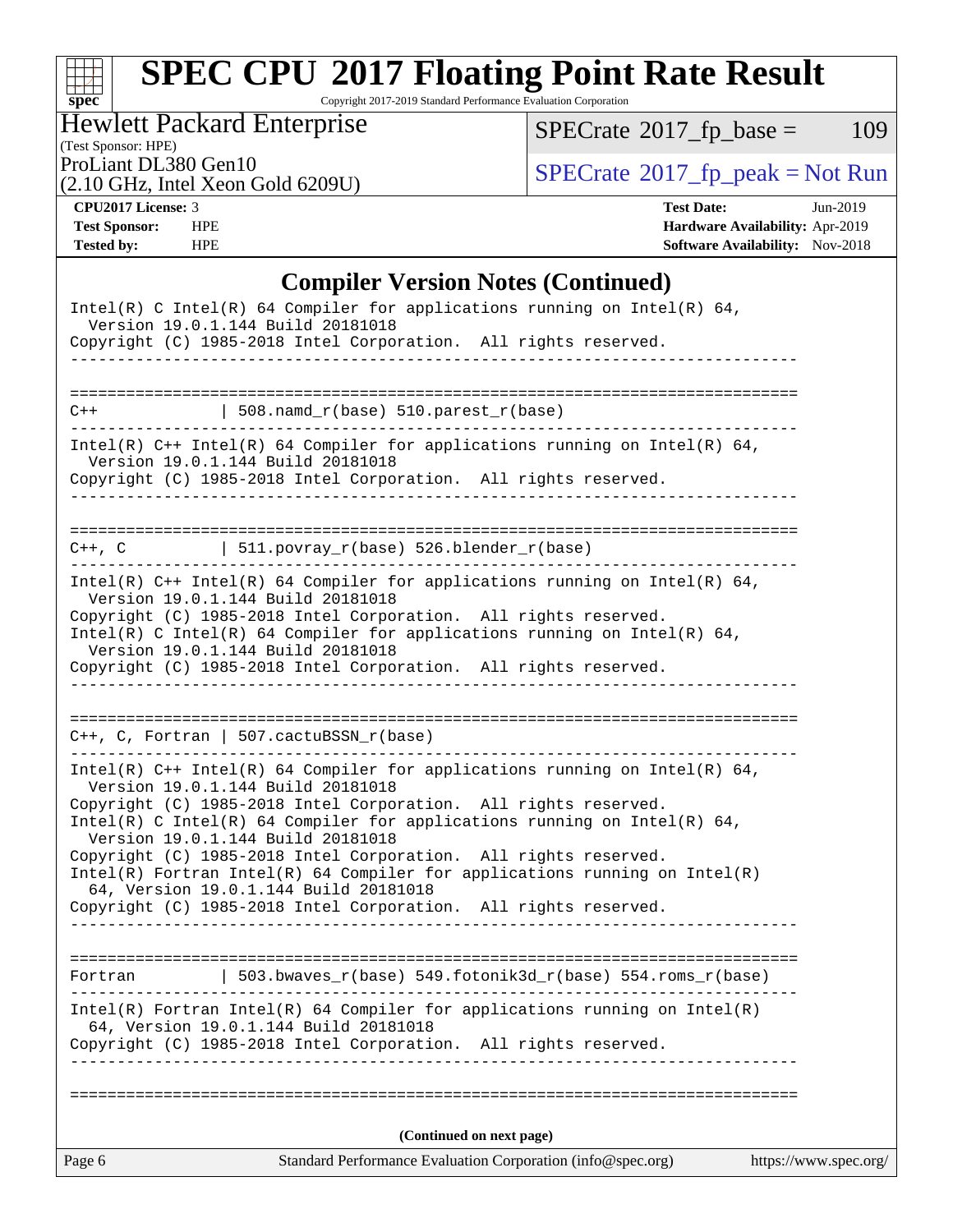# **[spec](http://www.spec.org/)**

# **[SPEC CPU](http://www.spec.org/auto/cpu2017/Docs/result-fields.html#SPECCPU2017FloatingPointRateResult)[2017 Floating Point Rate Result](http://www.spec.org/auto/cpu2017/Docs/result-fields.html#SPECCPU2017FloatingPointRateResult)**

Copyright 2017-2019 Standard Performance Evaluation Corporation

Hewlett Packard Enterprise

 $SPECrate@2017_fp\_base = 109$  $SPECrate@2017_fp\_base = 109$ 

(Test Sponsor: HPE)

(2.10 GHz, Intel Xeon Gold 6209U)

ProLiant DL380 Gen10<br>  $(2.10 \text{ GHz} \text{ Intel } X_{\text{eon} \text{ Gold } 62091})$   $\text{SPECrate} \textcircled{2017\_fp\_peak} = \text{Not Run}$  $\text{SPECrate} \textcircled{2017\_fp\_peak} = \text{Not Run}$  $\text{SPECrate} \textcircled{2017\_fp\_peak} = \text{Not Run}$ 

**[CPU2017 License:](http://www.spec.org/auto/cpu2017/Docs/result-fields.html#CPU2017License)** 3 **[Test Date:](http://www.spec.org/auto/cpu2017/Docs/result-fields.html#TestDate)** Jun-2019 **[Test Sponsor:](http://www.spec.org/auto/cpu2017/Docs/result-fields.html#TestSponsor)** HPE **[Hardware Availability:](http://www.spec.org/auto/cpu2017/Docs/result-fields.html#HardwareAvailability)** Apr-2019 **[Tested by:](http://www.spec.org/auto/cpu2017/Docs/result-fields.html#Testedby)** HPE **HPE [Software Availability:](http://www.spec.org/auto/cpu2017/Docs/result-fields.html#SoftwareAvailability)** Nov-2018

## **[Compiler Version Notes \(Continued\)](http://www.spec.org/auto/cpu2017/Docs/result-fields.html#CompilerVersionNotes)**

| $Intel(R)$ Fortran Intel(R) 64 Compiler for applications running on Intel(R)<br>64, Version 19.0.1.144 Build 20181018<br>Copyright (C) 1985-2018 Intel Corporation. All rights reserved.<br>___________.                                                         |
|------------------------------------------------------------------------------------------------------------------------------------------------------------------------------------------------------------------------------------------------------------------|
| 503.bwaves_r(base) 549.fotonik3d_r(base) 554.roms_r(base)<br>Fortran                                                                                                                                                                                             |
| 64, Version 19.0.1.144 Build 20181018<br>Copyright (C) 1985-2018 Intel Corporation. All rights reserved.                                                                                                                                                         |
| Version 19.0.1.144 Build 20181018<br>Copyright (C) 1985-2018 Intel Corporation. All rights reserved.<br>$Intel(R)$ Fortran Intel(R) 64 Compiler for applications running on Intel(R)                                                                             |
| Intel(R) $C++$ Intel(R) 64 Compiler for applications running on Intel(R) 64,<br>Version 19.0.1.144 Build 20181018<br>Copyright (C) 1985-2018 Intel Corporation. All rights reserved.<br>Intel(R) C Intel(R) 64 Compiler for applications running on Intel(R) 64, |
| $C++$ , C, Fortran   507.cactuBSSN_r(base)<br>_________________________________                                                                                                                                                                                  |
| Version 19.0.1.144 Build 20181018<br>Copyright (C) 1985-2018 Intel Corporation. All rights reserved.                                                                                                                                                             |
| Intel(R) $C++$ Intel(R) 64 Compiler for applications running on Intel(R) 64,<br>Version 19.0.1.144 Build 20181018<br>Copyright (C) 1985-2018 Intel Corporation. All rights reserved.<br>Intel(R) C Intel(R) 64 Compiler for applications running on Intel(R) 64, |
| $C++$ , C $\qquad \qquad$ 511.povray_r(base) 526.blender_r(base)                                                                                                                                                                                                 |
| Intel(R) $C++$ Intel(R) 64 Compiler for applications running on Intel(R) 64,<br>Version 19.0.1.144 Build 20181018<br>Copyright (C) 1985-2018 Intel Corporation. All rights reserved.                                                                             |
| $C++$<br>  $508.namd_r(base) 510.parest_r(base)$<br>. <u>.</u>                                                                                                                                                                                                   |
|                                                                                                                                                                                                                                                                  |
| Intel(R) C Intel(R) 64 Compiler for applications running on Intel(R) 64,<br>Version 19.0.1.144 Build 20181018<br>Copyright (C) 1985-2018 Intel Corporation. All rights reserved.                                                                                 |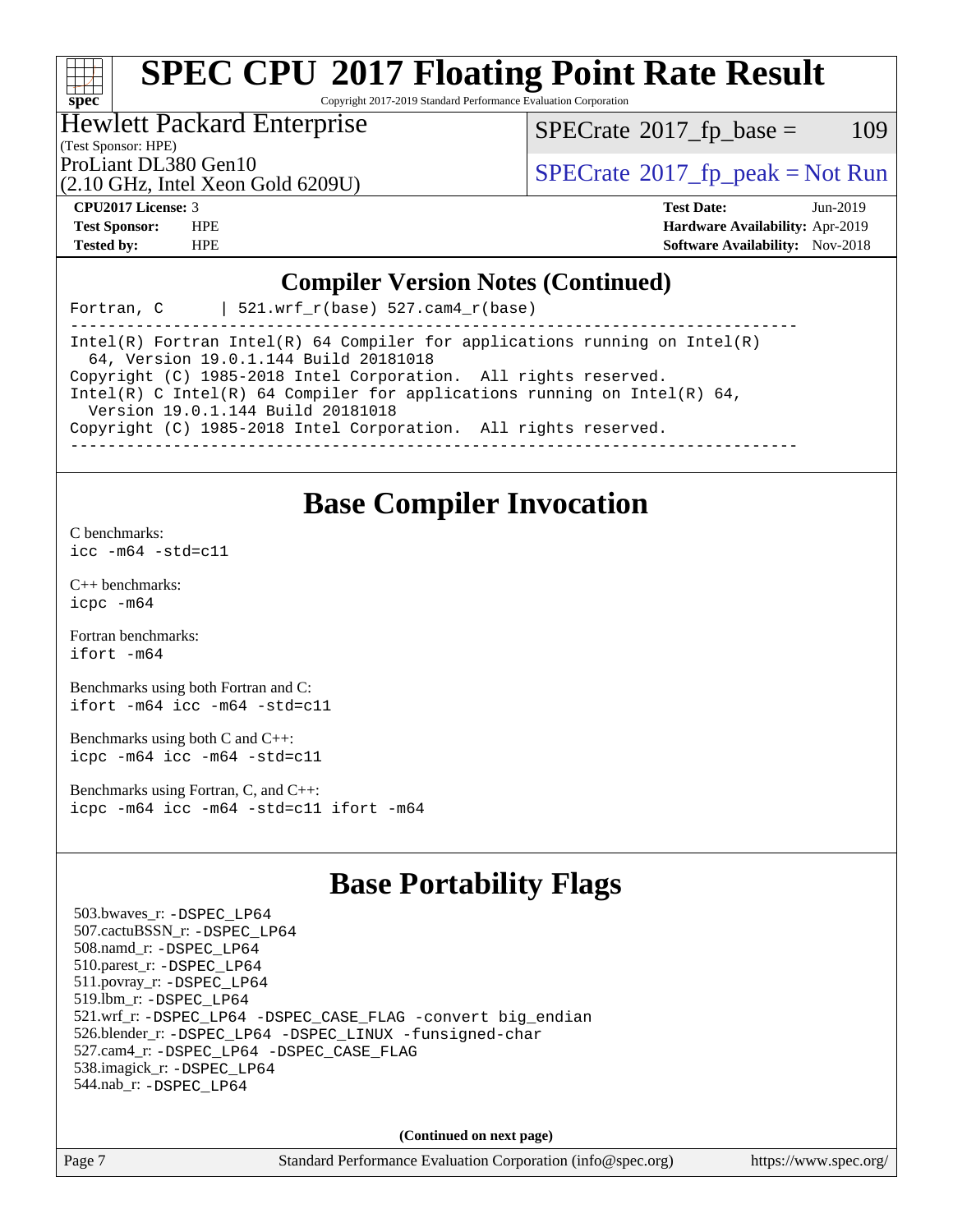## a tim **[spec](http://www.spec.org/)**

# **[SPEC CPU](http://www.spec.org/auto/cpu2017/Docs/result-fields.html#SPECCPU2017FloatingPointRateResult)[2017 Floating Point Rate Result](http://www.spec.org/auto/cpu2017/Docs/result-fields.html#SPECCPU2017FloatingPointRateResult)**

Copyright 2017-2019 Standard Performance Evaluation Corporation

## Hewlett Packard Enterprise

 $SPECTate@2017_fp\_base = 109$ 

## (Test Sponsor: HPE)

(2.10 GHz, Intel Xeon Gold 6209U)

ProLiant DL380 Gen10<br>  $SPECTATE$  [SPECrate](http://www.spec.org/auto/cpu2017/Docs/result-fields.html#SPECrate2017fppeak)®[2017\\_fp\\_peak = N](http://www.spec.org/auto/cpu2017/Docs/result-fields.html#SPECrate2017fppeak)ot Run

**[CPU2017 License:](http://www.spec.org/auto/cpu2017/Docs/result-fields.html#CPU2017License)** 3 **[Test Date:](http://www.spec.org/auto/cpu2017/Docs/result-fields.html#TestDate)** Jun-2019 **[Test Sponsor:](http://www.spec.org/auto/cpu2017/Docs/result-fields.html#TestSponsor)** HPE **[Hardware Availability:](http://www.spec.org/auto/cpu2017/Docs/result-fields.html#HardwareAvailability)** Apr-2019 **[Tested by:](http://www.spec.org/auto/cpu2017/Docs/result-fields.html#Testedby)** HPE **[Software Availability:](http://www.spec.org/auto/cpu2017/Docs/result-fields.html#SoftwareAvailability)** Nov-2018

## **[Compiler Version Notes \(Continued\)](http://www.spec.org/auto/cpu2017/Docs/result-fields.html#CompilerVersionNotes)**

Fortran, C | 521.wrf  $r(base)$  527.cam4  $r(base)$ 

------------------------------------------------------------------------------ Intel(R) Fortran Intel(R) 64 Compiler for applications running on Intel(R) 64, Version 19.0.1.144 Build 20181018 Copyright (C) 1985-2018 Intel Corporation. All rights reserved. Intel(R) C Intel(R) 64 Compiler for applications running on Intel(R) 64, Version 19.0.1.144 Build 20181018 Copyright (C) 1985-2018 Intel Corporation. All rights reserved. ------------------------------------------------------------------------------

## **[Base Compiler Invocation](http://www.spec.org/auto/cpu2017/Docs/result-fields.html#BaseCompilerInvocation)**

[C benchmarks](http://www.spec.org/auto/cpu2017/Docs/result-fields.html#Cbenchmarks):

 $icc - m64 - std = c11$ 

[C++ benchmarks:](http://www.spec.org/auto/cpu2017/Docs/result-fields.html#CXXbenchmarks) [icpc -m64](http://www.spec.org/cpu2017/results/res2019q4/cpu2017-20190819-17010.flags.html#user_CXXbase_intel_icpc_64bit_4ecb2543ae3f1412ef961e0650ca070fec7b7afdcd6ed48761b84423119d1bf6bdf5cad15b44d48e7256388bc77273b966e5eb805aefd121eb22e9299b2ec9d9)

[Fortran benchmarks](http://www.spec.org/auto/cpu2017/Docs/result-fields.html#Fortranbenchmarks): [ifort -m64](http://www.spec.org/cpu2017/results/res2019q4/cpu2017-20190819-17010.flags.html#user_FCbase_intel_ifort_64bit_24f2bb282fbaeffd6157abe4f878425411749daecae9a33200eee2bee2fe76f3b89351d69a8130dd5949958ce389cf37ff59a95e7a40d588e8d3a57e0c3fd751)

[Benchmarks using both Fortran and C](http://www.spec.org/auto/cpu2017/Docs/result-fields.html#BenchmarksusingbothFortranandC): [ifort -m64](http://www.spec.org/cpu2017/results/res2019q4/cpu2017-20190819-17010.flags.html#user_CC_FCbase_intel_ifort_64bit_24f2bb282fbaeffd6157abe4f878425411749daecae9a33200eee2bee2fe76f3b89351d69a8130dd5949958ce389cf37ff59a95e7a40d588e8d3a57e0c3fd751) [icc -m64 -std=c11](http://www.spec.org/cpu2017/results/res2019q4/cpu2017-20190819-17010.flags.html#user_CC_FCbase_intel_icc_64bit_c11_33ee0cdaae7deeeab2a9725423ba97205ce30f63b9926c2519791662299b76a0318f32ddfffdc46587804de3178b4f9328c46fa7c2b0cd779d7a61945c91cd35)

[Benchmarks using both C and C++](http://www.spec.org/auto/cpu2017/Docs/result-fields.html#BenchmarksusingbothCandCXX): [icpc -m64](http://www.spec.org/cpu2017/results/res2019q4/cpu2017-20190819-17010.flags.html#user_CC_CXXbase_intel_icpc_64bit_4ecb2543ae3f1412ef961e0650ca070fec7b7afdcd6ed48761b84423119d1bf6bdf5cad15b44d48e7256388bc77273b966e5eb805aefd121eb22e9299b2ec9d9) [icc -m64 -std=c11](http://www.spec.org/cpu2017/results/res2019q4/cpu2017-20190819-17010.flags.html#user_CC_CXXbase_intel_icc_64bit_c11_33ee0cdaae7deeeab2a9725423ba97205ce30f63b9926c2519791662299b76a0318f32ddfffdc46587804de3178b4f9328c46fa7c2b0cd779d7a61945c91cd35)

[Benchmarks using Fortran, C, and C++:](http://www.spec.org/auto/cpu2017/Docs/result-fields.html#BenchmarksusingFortranCandCXX) [icpc -m64](http://www.spec.org/cpu2017/results/res2019q4/cpu2017-20190819-17010.flags.html#user_CC_CXX_FCbase_intel_icpc_64bit_4ecb2543ae3f1412ef961e0650ca070fec7b7afdcd6ed48761b84423119d1bf6bdf5cad15b44d48e7256388bc77273b966e5eb805aefd121eb22e9299b2ec9d9) [icc -m64 -std=c11](http://www.spec.org/cpu2017/results/res2019q4/cpu2017-20190819-17010.flags.html#user_CC_CXX_FCbase_intel_icc_64bit_c11_33ee0cdaae7deeeab2a9725423ba97205ce30f63b9926c2519791662299b76a0318f32ddfffdc46587804de3178b4f9328c46fa7c2b0cd779d7a61945c91cd35) [ifort -m64](http://www.spec.org/cpu2017/results/res2019q4/cpu2017-20190819-17010.flags.html#user_CC_CXX_FCbase_intel_ifort_64bit_24f2bb282fbaeffd6157abe4f878425411749daecae9a33200eee2bee2fe76f3b89351d69a8130dd5949958ce389cf37ff59a95e7a40d588e8d3a57e0c3fd751)

## **[Base Portability Flags](http://www.spec.org/auto/cpu2017/Docs/result-fields.html#BasePortabilityFlags)**

 503.bwaves\_r: [-DSPEC\\_LP64](http://www.spec.org/cpu2017/results/res2019q4/cpu2017-20190819-17010.flags.html#suite_basePORTABILITY503_bwaves_r_DSPEC_LP64) 507.cactuBSSN\_r: [-DSPEC\\_LP64](http://www.spec.org/cpu2017/results/res2019q4/cpu2017-20190819-17010.flags.html#suite_basePORTABILITY507_cactuBSSN_r_DSPEC_LP64) 508.namd\_r: [-DSPEC\\_LP64](http://www.spec.org/cpu2017/results/res2019q4/cpu2017-20190819-17010.flags.html#suite_basePORTABILITY508_namd_r_DSPEC_LP64) 510.parest\_r: [-DSPEC\\_LP64](http://www.spec.org/cpu2017/results/res2019q4/cpu2017-20190819-17010.flags.html#suite_basePORTABILITY510_parest_r_DSPEC_LP64) 511.povray\_r: [-DSPEC\\_LP64](http://www.spec.org/cpu2017/results/res2019q4/cpu2017-20190819-17010.flags.html#suite_basePORTABILITY511_povray_r_DSPEC_LP64) 519.lbm\_r: [-DSPEC\\_LP64](http://www.spec.org/cpu2017/results/res2019q4/cpu2017-20190819-17010.flags.html#suite_basePORTABILITY519_lbm_r_DSPEC_LP64) 521.wrf\_r: [-DSPEC\\_LP64](http://www.spec.org/cpu2017/results/res2019q4/cpu2017-20190819-17010.flags.html#suite_basePORTABILITY521_wrf_r_DSPEC_LP64) [-DSPEC\\_CASE\\_FLAG](http://www.spec.org/cpu2017/results/res2019q4/cpu2017-20190819-17010.flags.html#b521.wrf_r_baseCPORTABILITY_DSPEC_CASE_FLAG) [-convert big\\_endian](http://www.spec.org/cpu2017/results/res2019q4/cpu2017-20190819-17010.flags.html#user_baseFPORTABILITY521_wrf_r_convert_big_endian_c3194028bc08c63ac5d04de18c48ce6d347e4e562e8892b8bdbdc0214820426deb8554edfa529a3fb25a586e65a3d812c835984020483e7e73212c4d31a38223) 526.blender\_r: [-DSPEC\\_LP64](http://www.spec.org/cpu2017/results/res2019q4/cpu2017-20190819-17010.flags.html#suite_basePORTABILITY526_blender_r_DSPEC_LP64) [-DSPEC\\_LINUX](http://www.spec.org/cpu2017/results/res2019q4/cpu2017-20190819-17010.flags.html#b526.blender_r_baseCPORTABILITY_DSPEC_LINUX) [-funsigned-char](http://www.spec.org/cpu2017/results/res2019q4/cpu2017-20190819-17010.flags.html#user_baseCPORTABILITY526_blender_r_force_uchar_40c60f00ab013830e2dd6774aeded3ff59883ba5a1fc5fc14077f794d777847726e2a5858cbc7672e36e1b067e7e5c1d9a74f7176df07886a243d7cc18edfe67) 527.cam4\_r: [-DSPEC\\_LP64](http://www.spec.org/cpu2017/results/res2019q4/cpu2017-20190819-17010.flags.html#suite_basePORTABILITY527_cam4_r_DSPEC_LP64) [-DSPEC\\_CASE\\_FLAG](http://www.spec.org/cpu2017/results/res2019q4/cpu2017-20190819-17010.flags.html#b527.cam4_r_baseCPORTABILITY_DSPEC_CASE_FLAG) 538.imagick\_r: [-DSPEC\\_LP64](http://www.spec.org/cpu2017/results/res2019q4/cpu2017-20190819-17010.flags.html#suite_basePORTABILITY538_imagick_r_DSPEC_LP64) 544.nab\_r: [-DSPEC\\_LP64](http://www.spec.org/cpu2017/results/res2019q4/cpu2017-20190819-17010.flags.html#suite_basePORTABILITY544_nab_r_DSPEC_LP64)

**(Continued on next page)**

Page 7 Standard Performance Evaluation Corporation [\(info@spec.org\)](mailto:info@spec.org) <https://www.spec.org/>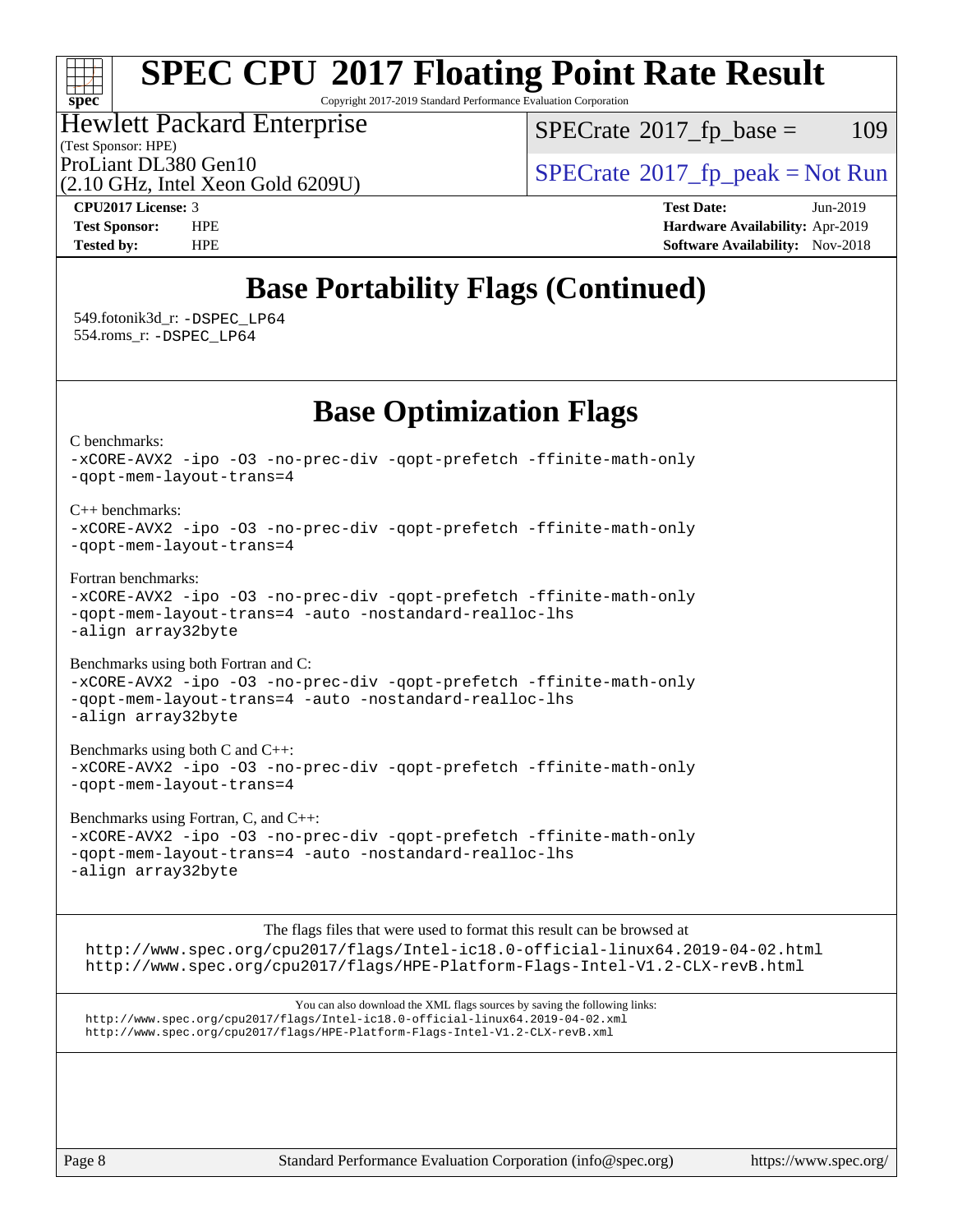## $\pm\pm\pm$ **[spec](http://www.spec.org/)**

# **[SPEC CPU](http://www.spec.org/auto/cpu2017/Docs/result-fields.html#SPECCPU2017FloatingPointRateResult)[2017 Floating Point Rate Result](http://www.spec.org/auto/cpu2017/Docs/result-fields.html#SPECCPU2017FloatingPointRateResult)**

Copyright 2017-2019 Standard Performance Evaluation Corporation

Hewlett Packard Enterprise

 $SPECTate$ <sup>®</sup>[2017\\_fp\\_base =](http://www.spec.org/auto/cpu2017/Docs/result-fields.html#SPECrate2017fpbase) 109

(Test Sponsor: HPE)

ProLiant DL380 Gen10  $SPECTR_{12}$  [SPECrate](http://www.spec.org/auto/cpu2017/Docs/result-fields.html#SPECrate2017fppeak)®[2017\\_fp\\_peak = N](http://www.spec.org/auto/cpu2017/Docs/result-fields.html#SPECrate2017fppeak)ot Run

(2.10 GHz, Intel Xeon Gold 6209U)

**[CPU2017 License:](http://www.spec.org/auto/cpu2017/Docs/result-fields.html#CPU2017License)** 3 **[Test Date:](http://www.spec.org/auto/cpu2017/Docs/result-fields.html#TestDate)** Jun-2019 **[Test Sponsor:](http://www.spec.org/auto/cpu2017/Docs/result-fields.html#TestSponsor)** HPE **[Hardware Availability:](http://www.spec.org/auto/cpu2017/Docs/result-fields.html#HardwareAvailability)** Apr-2019 **[Tested by:](http://www.spec.org/auto/cpu2017/Docs/result-fields.html#Testedby)** HPE **[Software Availability:](http://www.spec.org/auto/cpu2017/Docs/result-fields.html#SoftwareAvailability)** Nov-2018

## **[Base Portability Flags \(Continued\)](http://www.spec.org/auto/cpu2017/Docs/result-fields.html#BasePortabilityFlags)**

 549.fotonik3d\_r: [-DSPEC\\_LP64](http://www.spec.org/cpu2017/results/res2019q4/cpu2017-20190819-17010.flags.html#suite_basePORTABILITY549_fotonik3d_r_DSPEC_LP64) 554.roms\_r: [-DSPEC\\_LP64](http://www.spec.org/cpu2017/results/res2019q4/cpu2017-20190819-17010.flags.html#suite_basePORTABILITY554_roms_r_DSPEC_LP64)

**[Base Optimization Flags](http://www.spec.org/auto/cpu2017/Docs/result-fields.html#BaseOptimizationFlags)**

[C benchmarks](http://www.spec.org/auto/cpu2017/Docs/result-fields.html#Cbenchmarks):

[-xCORE-AVX2](http://www.spec.org/cpu2017/results/res2019q4/cpu2017-20190819-17010.flags.html#user_CCbase_f-xCORE-AVX2) [-ipo](http://www.spec.org/cpu2017/results/res2019q4/cpu2017-20190819-17010.flags.html#user_CCbase_f-ipo) [-O3](http://www.spec.org/cpu2017/results/res2019q4/cpu2017-20190819-17010.flags.html#user_CCbase_f-O3) [-no-prec-div](http://www.spec.org/cpu2017/results/res2019q4/cpu2017-20190819-17010.flags.html#user_CCbase_f-no-prec-div) [-qopt-prefetch](http://www.spec.org/cpu2017/results/res2019q4/cpu2017-20190819-17010.flags.html#user_CCbase_f-qopt-prefetch) [-ffinite-math-only](http://www.spec.org/cpu2017/results/res2019q4/cpu2017-20190819-17010.flags.html#user_CCbase_f_finite_math_only_cb91587bd2077682c4b38af759c288ed7c732db004271a9512da14a4f8007909a5f1427ecbf1a0fb78ff2a814402c6114ac565ca162485bbcae155b5e4258871) [-qopt-mem-layout-trans=4](http://www.spec.org/cpu2017/results/res2019q4/cpu2017-20190819-17010.flags.html#user_CCbase_f-qopt-mem-layout-trans_fa39e755916c150a61361b7846f310bcdf6f04e385ef281cadf3647acec3f0ae266d1a1d22d972a7087a248fd4e6ca390a3634700869573d231a252c784941a8) [C++ benchmarks:](http://www.spec.org/auto/cpu2017/Docs/result-fields.html#CXXbenchmarks) [-xCORE-AVX2](http://www.spec.org/cpu2017/results/res2019q4/cpu2017-20190819-17010.flags.html#user_CXXbase_f-xCORE-AVX2) [-ipo](http://www.spec.org/cpu2017/results/res2019q4/cpu2017-20190819-17010.flags.html#user_CXXbase_f-ipo) [-O3](http://www.spec.org/cpu2017/results/res2019q4/cpu2017-20190819-17010.flags.html#user_CXXbase_f-O3) [-no-prec-div](http://www.spec.org/cpu2017/results/res2019q4/cpu2017-20190819-17010.flags.html#user_CXXbase_f-no-prec-div) [-qopt-prefetch](http://www.spec.org/cpu2017/results/res2019q4/cpu2017-20190819-17010.flags.html#user_CXXbase_f-qopt-prefetch) [-ffinite-math-only](http://www.spec.org/cpu2017/results/res2019q4/cpu2017-20190819-17010.flags.html#user_CXXbase_f_finite_math_only_cb91587bd2077682c4b38af759c288ed7c732db004271a9512da14a4f8007909a5f1427ecbf1a0fb78ff2a814402c6114ac565ca162485bbcae155b5e4258871) [-qopt-mem-layout-trans=4](http://www.spec.org/cpu2017/results/res2019q4/cpu2017-20190819-17010.flags.html#user_CXXbase_f-qopt-mem-layout-trans_fa39e755916c150a61361b7846f310bcdf6f04e385ef281cadf3647acec3f0ae266d1a1d22d972a7087a248fd4e6ca390a3634700869573d231a252c784941a8) [Fortran benchmarks](http://www.spec.org/auto/cpu2017/Docs/result-fields.html#Fortranbenchmarks): [-xCORE-AVX2](http://www.spec.org/cpu2017/results/res2019q4/cpu2017-20190819-17010.flags.html#user_FCbase_f-xCORE-AVX2) [-ipo](http://www.spec.org/cpu2017/results/res2019q4/cpu2017-20190819-17010.flags.html#user_FCbase_f-ipo) [-O3](http://www.spec.org/cpu2017/results/res2019q4/cpu2017-20190819-17010.flags.html#user_FCbase_f-O3) [-no-prec-div](http://www.spec.org/cpu2017/results/res2019q4/cpu2017-20190819-17010.flags.html#user_FCbase_f-no-prec-div) [-qopt-prefetch](http://www.spec.org/cpu2017/results/res2019q4/cpu2017-20190819-17010.flags.html#user_FCbase_f-qopt-prefetch) [-ffinite-math-only](http://www.spec.org/cpu2017/results/res2019q4/cpu2017-20190819-17010.flags.html#user_FCbase_f_finite_math_only_cb91587bd2077682c4b38af759c288ed7c732db004271a9512da14a4f8007909a5f1427ecbf1a0fb78ff2a814402c6114ac565ca162485bbcae155b5e4258871) [-qopt-mem-layout-trans=4](http://www.spec.org/cpu2017/results/res2019q4/cpu2017-20190819-17010.flags.html#user_FCbase_f-qopt-mem-layout-trans_fa39e755916c150a61361b7846f310bcdf6f04e385ef281cadf3647acec3f0ae266d1a1d22d972a7087a248fd4e6ca390a3634700869573d231a252c784941a8) [-auto](http://www.spec.org/cpu2017/results/res2019q4/cpu2017-20190819-17010.flags.html#user_FCbase_f-auto) [-nostandard-realloc-lhs](http://www.spec.org/cpu2017/results/res2019q4/cpu2017-20190819-17010.flags.html#user_FCbase_f_2003_std_realloc_82b4557e90729c0f113870c07e44d33d6f5a304b4f63d4c15d2d0f1fab99f5daaed73bdb9275d9ae411527f28b936061aa8b9c8f2d63842963b95c9dd6426b8a) [-align array32byte](http://www.spec.org/cpu2017/results/res2019q4/cpu2017-20190819-17010.flags.html#user_FCbase_align_array32byte_b982fe038af199962ba9a80c053b8342c548c85b40b8e86eb3cc33dee0d7986a4af373ac2d51c3f7cf710a18d62fdce2948f201cd044323541f22fc0fffc51b6) [Benchmarks using both Fortran and C](http://www.spec.org/auto/cpu2017/Docs/result-fields.html#BenchmarksusingbothFortranandC): [-xCORE-AVX2](http://www.spec.org/cpu2017/results/res2019q4/cpu2017-20190819-17010.flags.html#user_CC_FCbase_f-xCORE-AVX2) [-ipo](http://www.spec.org/cpu2017/results/res2019q4/cpu2017-20190819-17010.flags.html#user_CC_FCbase_f-ipo) [-O3](http://www.spec.org/cpu2017/results/res2019q4/cpu2017-20190819-17010.flags.html#user_CC_FCbase_f-O3) [-no-prec-div](http://www.spec.org/cpu2017/results/res2019q4/cpu2017-20190819-17010.flags.html#user_CC_FCbase_f-no-prec-div) [-qopt-prefetch](http://www.spec.org/cpu2017/results/res2019q4/cpu2017-20190819-17010.flags.html#user_CC_FCbase_f-qopt-prefetch) [-ffinite-math-only](http://www.spec.org/cpu2017/results/res2019q4/cpu2017-20190819-17010.flags.html#user_CC_FCbase_f_finite_math_only_cb91587bd2077682c4b38af759c288ed7c732db004271a9512da14a4f8007909a5f1427ecbf1a0fb78ff2a814402c6114ac565ca162485bbcae155b5e4258871) [-qopt-mem-layout-trans=4](http://www.spec.org/cpu2017/results/res2019q4/cpu2017-20190819-17010.flags.html#user_CC_FCbase_f-qopt-mem-layout-trans_fa39e755916c150a61361b7846f310bcdf6f04e385ef281cadf3647acec3f0ae266d1a1d22d972a7087a248fd4e6ca390a3634700869573d231a252c784941a8) [-auto](http://www.spec.org/cpu2017/results/res2019q4/cpu2017-20190819-17010.flags.html#user_CC_FCbase_f-auto) [-nostandard-realloc-lhs](http://www.spec.org/cpu2017/results/res2019q4/cpu2017-20190819-17010.flags.html#user_CC_FCbase_f_2003_std_realloc_82b4557e90729c0f113870c07e44d33d6f5a304b4f63d4c15d2d0f1fab99f5daaed73bdb9275d9ae411527f28b936061aa8b9c8f2d63842963b95c9dd6426b8a) [-align array32byte](http://www.spec.org/cpu2017/results/res2019q4/cpu2017-20190819-17010.flags.html#user_CC_FCbase_align_array32byte_b982fe038af199962ba9a80c053b8342c548c85b40b8e86eb3cc33dee0d7986a4af373ac2d51c3f7cf710a18d62fdce2948f201cd044323541f22fc0fffc51b6) [Benchmarks using both C and C++](http://www.spec.org/auto/cpu2017/Docs/result-fields.html#BenchmarksusingbothCandCXX): [-xCORE-AVX2](http://www.spec.org/cpu2017/results/res2019q4/cpu2017-20190819-17010.flags.html#user_CC_CXXbase_f-xCORE-AVX2) [-ipo](http://www.spec.org/cpu2017/results/res2019q4/cpu2017-20190819-17010.flags.html#user_CC_CXXbase_f-ipo) [-O3](http://www.spec.org/cpu2017/results/res2019q4/cpu2017-20190819-17010.flags.html#user_CC_CXXbase_f-O3) [-no-prec-div](http://www.spec.org/cpu2017/results/res2019q4/cpu2017-20190819-17010.flags.html#user_CC_CXXbase_f-no-prec-div) [-qopt-prefetch](http://www.spec.org/cpu2017/results/res2019q4/cpu2017-20190819-17010.flags.html#user_CC_CXXbase_f-qopt-prefetch) [-ffinite-math-only](http://www.spec.org/cpu2017/results/res2019q4/cpu2017-20190819-17010.flags.html#user_CC_CXXbase_f_finite_math_only_cb91587bd2077682c4b38af759c288ed7c732db004271a9512da14a4f8007909a5f1427ecbf1a0fb78ff2a814402c6114ac565ca162485bbcae155b5e4258871) [-qopt-mem-layout-trans=4](http://www.spec.org/cpu2017/results/res2019q4/cpu2017-20190819-17010.flags.html#user_CC_CXXbase_f-qopt-mem-layout-trans_fa39e755916c150a61361b7846f310bcdf6f04e385ef281cadf3647acec3f0ae266d1a1d22d972a7087a248fd4e6ca390a3634700869573d231a252c784941a8) [Benchmarks using Fortran, C, and C++:](http://www.spec.org/auto/cpu2017/Docs/result-fields.html#BenchmarksusingFortranCandCXX) [-xCORE-AVX2](http://www.spec.org/cpu2017/results/res2019q4/cpu2017-20190819-17010.flags.html#user_CC_CXX_FCbase_f-xCORE-AVX2) [-ipo](http://www.spec.org/cpu2017/results/res2019q4/cpu2017-20190819-17010.flags.html#user_CC_CXX_FCbase_f-ipo) [-O3](http://www.spec.org/cpu2017/results/res2019q4/cpu2017-20190819-17010.flags.html#user_CC_CXX_FCbase_f-O3) [-no-prec-div](http://www.spec.org/cpu2017/results/res2019q4/cpu2017-20190819-17010.flags.html#user_CC_CXX_FCbase_f-no-prec-div) [-qopt-prefetch](http://www.spec.org/cpu2017/results/res2019q4/cpu2017-20190819-17010.flags.html#user_CC_CXX_FCbase_f-qopt-prefetch) [-ffinite-math-only](http://www.spec.org/cpu2017/results/res2019q4/cpu2017-20190819-17010.flags.html#user_CC_CXX_FCbase_f_finite_math_only_cb91587bd2077682c4b38af759c288ed7c732db004271a9512da14a4f8007909a5f1427ecbf1a0fb78ff2a814402c6114ac565ca162485bbcae155b5e4258871) [-qopt-mem-layout-trans=4](http://www.spec.org/cpu2017/results/res2019q4/cpu2017-20190819-17010.flags.html#user_CC_CXX_FCbase_f-qopt-mem-layout-trans_fa39e755916c150a61361b7846f310bcdf6f04e385ef281cadf3647acec3f0ae266d1a1d22d972a7087a248fd4e6ca390a3634700869573d231a252c784941a8) [-auto](http://www.spec.org/cpu2017/results/res2019q4/cpu2017-20190819-17010.flags.html#user_CC_CXX_FCbase_f-auto) [-nostandard-realloc-lhs](http://www.spec.org/cpu2017/results/res2019q4/cpu2017-20190819-17010.flags.html#user_CC_CXX_FCbase_f_2003_std_realloc_82b4557e90729c0f113870c07e44d33d6f5a304b4f63d4c15d2d0f1fab99f5daaed73bdb9275d9ae411527f28b936061aa8b9c8f2d63842963b95c9dd6426b8a) [-align array32byte](http://www.spec.org/cpu2017/results/res2019q4/cpu2017-20190819-17010.flags.html#user_CC_CXX_FCbase_align_array32byte_b982fe038af199962ba9a80c053b8342c548c85b40b8e86eb3cc33dee0d7986a4af373ac2d51c3f7cf710a18d62fdce2948f201cd044323541f22fc0fffc51b6) [The flags files that were used to format this result can be browsed at](tmsearch) <http://www.spec.org/cpu2017/flags/Intel-ic18.0-official-linux64.2019-04-02.html> <http://www.spec.org/cpu2017/flags/HPE-Platform-Flags-Intel-V1.2-CLX-revB.html> [You can also download the XML flags sources by saving the following links:](tmsearch) <http://www.spec.org/cpu2017/flags/Intel-ic18.0-official-linux64.2019-04-02.xml> <http://www.spec.org/cpu2017/flags/HPE-Platform-Flags-Intel-V1.2-CLX-revB.xml>